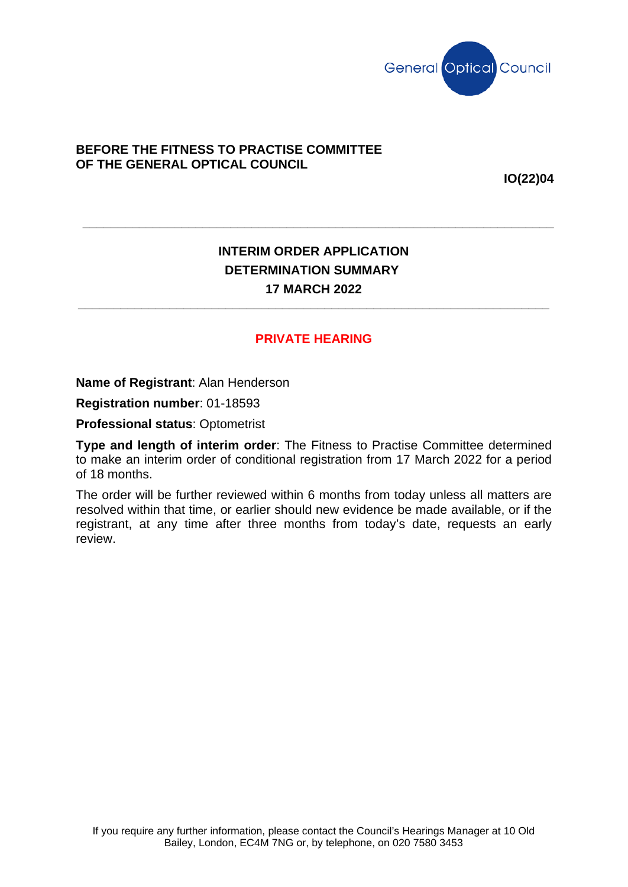

## **BEFORE THE FITNESS TO PRACTISE COMMITTEE OF THE GENERAL OPTICAL COUNCIL**

**IO(22)04**

## **INTERIM ORDER APPLICATION DETERMINATION SUMMARY 17 MARCH 2022**

**\_\_\_\_\_\_\_\_\_\_\_\_\_\_\_\_\_\_\_\_\_\_\_\_\_\_\_\_\_\_\_\_\_\_\_\_\_\_\_\_\_\_\_\_\_\_\_\_\_\_\_\_\_\_\_\_\_\_\_\_\_\_\_\_\_\_\_**

**\_\_\_\_\_\_\_\_\_\_\_\_\_\_\_\_\_\_\_\_\_\_\_\_\_\_\_\_\_\_\_\_\_\_\_\_\_\_\_\_\_\_\_\_\_\_\_\_\_\_\_\_\_\_\_\_\_\_\_\_\_\_\_\_\_\_\_**

## **PRIVATE HEARING**

**Name of Registrant**: Alan Henderson

**Registration number**: 01-18593

**Professional status**: Optometrist

**Type and length of interim order**: The Fitness to Practise Committee determined to make an interim order of conditional registration from 17 March 2022 for a period of 18 months.

The order will be further reviewed within 6 months from today unless all matters are resolved within that time, or earlier should new evidence be made available, or if the registrant, at any time after three months from today's date, requests an early review.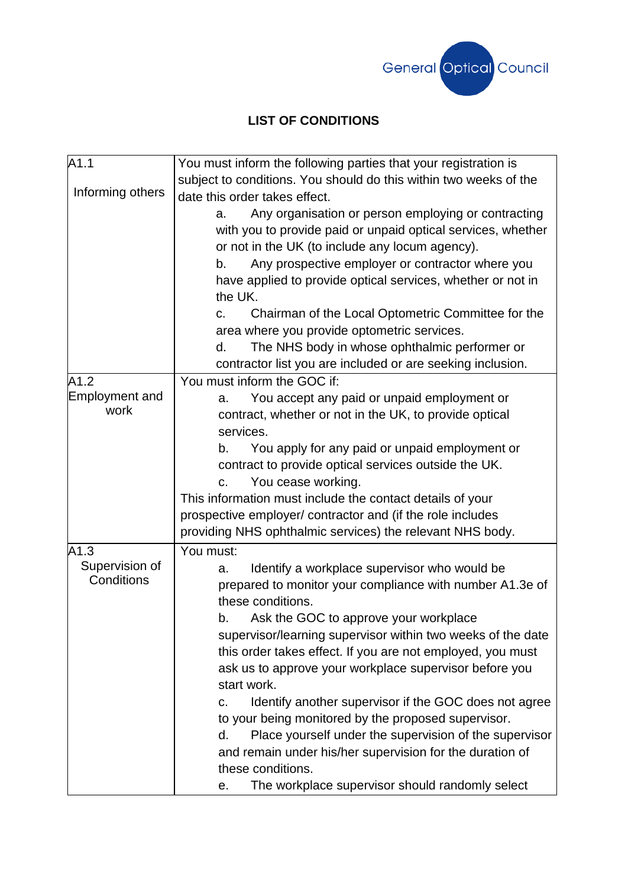

## **LIST OF CONDITIONS**

| A <sub>1.1</sub> | You must inform the following parties that your registration is   |
|------------------|-------------------------------------------------------------------|
|                  | subject to conditions. You should do this within two weeks of the |
| Informing others | date this order takes effect.                                     |
|                  | Any organisation or person employing or contracting<br>а.         |
|                  | with you to provide paid or unpaid optical services, whether      |
|                  | or not in the UK (to include any locum agency).                   |
|                  | Any prospective employer or contractor where you<br>b.            |
|                  | have applied to provide optical services, whether or not in       |
|                  | the UK.                                                           |
|                  | Chairman of the Local Optometric Committee for the<br>C.          |
|                  | area where you provide optometric services.                       |
|                  | The NHS body in whose ophthalmic performer or<br>d.               |
|                  | contractor list you are included or are seeking inclusion.        |
| A1.2             | You must inform the GOC if:                                       |
| Employment and   | You accept any paid or unpaid employment or<br>a.                 |
| work             | contract, whether or not in the UK, to provide optical            |
|                  | services.                                                         |
|                  | You apply for any paid or unpaid employment or<br>b.              |
|                  | contract to provide optical services outside the UK.              |
|                  | You cease working.<br>$C_{\star}$                                 |
|                  | This information must include the contact details of your         |
|                  | prospective employer/ contractor and (if the role includes        |
|                  | providing NHS ophthalmic services) the relevant NHS body.         |
| A1.3             | You must:                                                         |
| Supervision of   | Identify a workplace supervisor who would be<br>a.                |
| Conditions       | prepared to monitor your compliance with number A1.3e of          |
|                  | these conditions.                                                 |
|                  | Ask the GOC to approve your workplace<br>b.                       |
|                  | supervisor/learning supervisor within two weeks of the date       |
|                  | this order takes effect. If you are not employed, you must        |
|                  | ask us to approve your workplace supervisor before you            |
|                  | start work.                                                       |
|                  | Identify another supervisor if the GOC does not agree<br>C.       |
|                  | to your being monitored by the proposed supervisor.               |
|                  | Place yourself under the supervision of the supervisor<br>d.      |
|                  | and remain under his/her supervision for the duration of          |
|                  | these conditions.                                                 |
|                  | The workplace supervisor should randomly select<br>е.             |